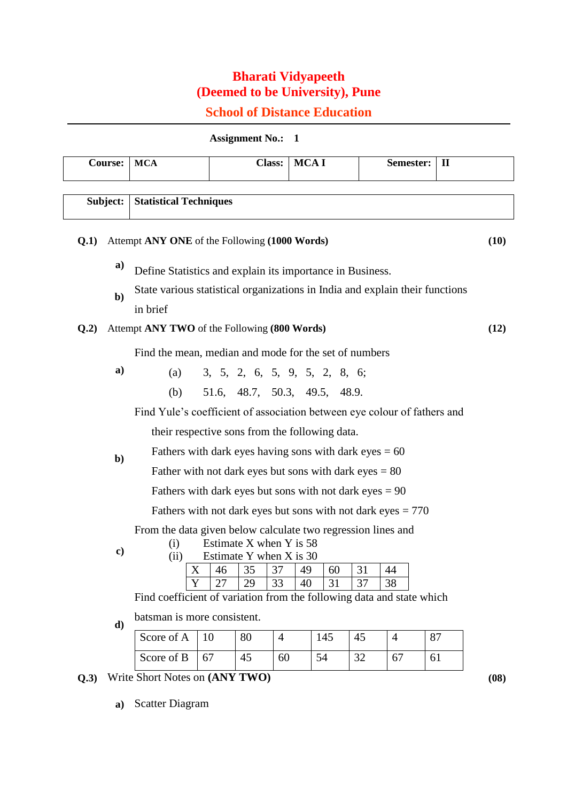## **Bharati Vidyapeeth (Deemed to be University), Pune**

## **School of Distance Education**

**Assignment No.: 1** 

| <b>Course:</b>                                                                                                       |                                                                | <b>MCA</b>                                                                                     |    |                               | Class: MCA I   |     |    | Semester:      | $\mathbf{I}$ |      |
|----------------------------------------------------------------------------------------------------------------------|----------------------------------------------------------------|------------------------------------------------------------------------------------------------|----|-------------------------------|----------------|-----|----|----------------|--------------|------|
| <b>Statistical Techniques</b><br>Subject:                                                                            |                                                                |                                                                                                |    |                               |                |     |    |                |              |      |
|                                                                                                                      |                                                                |                                                                                                |    |                               |                |     |    |                |              |      |
| Q.1)                                                                                                                 |                                                                | Attempt ANY ONE of the Following (1000 Words)<br>(10)                                          |    |                               |                |     |    |                |              |      |
|                                                                                                                      | a)                                                             | Define Statistics and explain its importance in Business.                                      |    |                               |                |     |    |                |              |      |
|                                                                                                                      | $\mathbf{b}$                                                   | State various statistical organizations in India and explain their functions<br>in brief       |    |                               |                |     |    |                |              |      |
| Q.2)                                                                                                                 | Attempt ANY TWO of the Following (800 Words)                   |                                                                                                |    |                               |                |     |    |                |              | (12) |
|                                                                                                                      | a)                                                             | Find the mean, median and mode for the set of numbers                                          |    |                               |                |     |    |                |              |      |
|                                                                                                                      |                                                                | (a)                                                                                            |    | 3, 5, 2, 6, 5, 9, 5, 2, 8, 6; |                |     |    |                |              |      |
|                                                                                                                      |                                                                | (b)                                                                                            |    | 51.6, 48.7, 50.3, 49.5, 48.9. |                |     |    |                |              |      |
|                                                                                                                      |                                                                | Find Yule's coefficient of association between eye colour of fathers and                       |    |                               |                |     |    |                |              |      |
|                                                                                                                      | $\mathbf{b}$                                                   | their respective sons from the following data.                                                 |    |                               |                |     |    |                |              |      |
|                                                                                                                      |                                                                | Fathers with dark eyes having sons with dark eyes $= 60$                                       |    |                               |                |     |    |                |              |      |
|                                                                                                                      |                                                                | Father with not dark eyes but sons with dark eyes $= 80$                                       |    |                               |                |     |    |                |              |      |
|                                                                                                                      |                                                                | Fathers with dark eyes but sons with not dark eyes $= 90$                                      |    |                               |                |     |    |                |              |      |
|                                                                                                                      | Fathers with not dark eyes but sons with not dark eyes = $770$ |                                                                                                |    |                               |                |     |    |                |              |      |
|                                                                                                                      | $\mathbf{c})$                                                  | From the data given below calculate two regression lines and<br>Estimate X when Y is 58<br>(i) |    |                               |                |     |    |                |              |      |
|                                                                                                                      |                                                                | Estimate Y when X is 30<br>(ii)                                                                |    |                               |                |     |    |                |              |      |
|                                                                                                                      |                                                                | X                                                                                              | 46 | 35                            | 37<br>49       | 60  | 31 | 44             |              |      |
| 33<br>37<br>29<br>31<br>38<br>Y<br>27<br>40<br>Find coefficient of variation from the following data and state which |                                                                |                                                                                                |    |                               |                |     |    |                |              |      |
|                                                                                                                      | $\mathbf{d}$                                                   | batsman is more consistent.                                                                    |    |                               |                |     |    |                |              |      |
|                                                                                                                      |                                                                | Score of A                                                                                     | 10 | 80                            | $\overline{4}$ | 145 | 45 | $\overline{4}$ | 87           |      |
|                                                                                                                      |                                                                | Score of B                                                                                     | 67 | 45                            | 60             | 54  | 32 | 67             | 61           |      |
| Q.3)                                                                                                                 |                                                                | Write Short Notes on (ANY TWO)                                                                 |    |                               |                |     |    |                |              | (08) |

**a)** Scatter Diagram